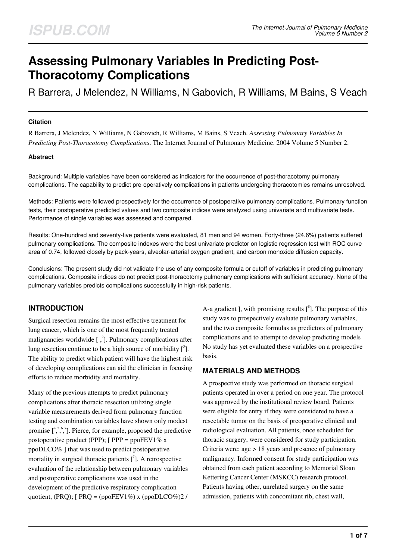# **Assessing Pulmonary Variables In Predicting Post-Thoracotomy Complications**

R Barrera, J Melendez, N Williams, N Gabovich, R Williams, M Bains, S Veach

## **Citation**

R Barrera, J Melendez, N Williams, N Gabovich, R Williams, M Bains, S Veach. *Assessing Pulmonary Variables In Predicting Post-Thoracotomy Complications*. The Internet Journal of Pulmonary Medicine. 2004 Volume 5 Number 2.

## **Abstract**

Background: Multiple variables have been considered as indicators for the occurrence of post-thoracotomy pulmonary complications. The capability to predict pre-operatively complications in patients undergoing thoracotomies remains unresolved.

Methods: Patients were followed prospectively for the occurrence of postoperative pulmonary complications. Pulmonary function tests, their postoperative predicted values and two composite indices were analyzed using univariate and multivariate tests. Performance of single variables was assessed and compared.

Results: One-hundred and seventy-five patients were evaluated, 81 men and 94 women. Forty-three (24.6%) patients suffered pulmonary complications. The composite indexes were the best univariate predictor on logistic regression test with ROC curve area of 0.74, followed closely by pack-years, alveolar-arterial oxygen gradient, and carbon monoxide diffusion capacity.

Conclusions: The present study did not validate the use of any composite formula or cutoff of variables in predicting pulmonary complications. Composite indices do not predict post-thoracotomy pulmonary complications with sufficient accuracy. None of the pulmonary variables predicts complications successfully in high-risk patients.

# **INTRODUCTION**

Surgical resection remains the most effective treatment for lung cancer, which is one of the most frequently treated malignancies worldwide  $\left[\cdot^2\right]$ . Pulmonary complications after lung resection continue to be a high source of morbidity  $\left[ \begin{array}{c} 3 \end{array} \right]$ . The ability to predict which patient will have the highest risk of developing complications can aid the clinician in focusing efforts to reduce morbidity and mortality.

Many of the previous attempts to predict pulmonary complications after thoracic resection utilizing single variable measurements derived from pulmonary function testing and combination variables have shown only modest promise  $\binom{4, 5, 6, 7}{7}$ . Pierce, for example, proposed the predictive postoperative product (PPP);  $[$  PPP = ppoFEV1% x ppoDLCO% ] that was used to predict postoperative mortality in surgical thoracic patients  $\left[ \begin{matrix} 7 \end{matrix} \right]$ . A retrospective evaluation of the relationship between pulmonary variables and postoperative complications was used in the development of the predictive respiratory complication quotient, (PRQ);  $[PRQ = (popFEV1\%) x (ppoDLCO\%)2 /$ 

A-a gradient ], with promising results  $[{}^8]$ . The purpose of this study was to prospectively evaluate pulmonary variables, and the two composite formulas as predictors of pulmonary complications and to attempt to develop predicting models No study has yet evaluated these variables on a prospective basis.

# **MATERIALS AND METHODS**

A prospective study was performed on thoracic surgical patients operated in over a period on one year. The protocol was approved by the institutional review board. Patients were eligible for entry if they were considered to have a resectable tumor on the basis of preoperative clinical and radiological evaluation. All patients, once scheduled for thoracic surgery, were considered for study participation. Criteria were: age > 18 years and presence of pulmonary malignancy. Informed consent for study participation was obtained from each patient according to Memorial Sloan Kettering Cancer Center (MSKCC) research protocol. Patients having other, unrelated surgery on the same admission, patients with concomitant rib, chest wall,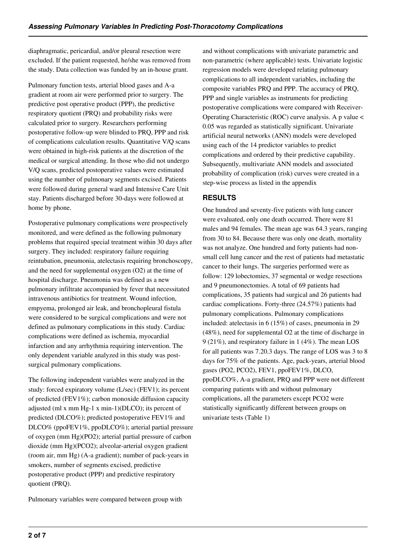diaphragmatic, pericardial, and/or pleural resection were excluded. If the patient requested, he/she was removed from the study. Data collection was funded by an in-house grant.

Pulmonary function tests, arterial blood gases and A-a gradient at room air were performed prior to surgery. The predictive post operative product (PPP), the predictive respiratory quotient (PRQ) and probability risks were calculated prior to surgery. Researchers performing postoperative follow-up were blinded to PRQ, PPP and risk of complications calculation results. Quantitative V/Q scans were obtained in high-risk patients at the discretion of the medical or surgical attending. In those who did not undergo V/Q scans, predicted postoperative values were estimated using the number of pulmonary segments excised. Patients were followed during general ward and Intensive Care Unit stay. Patients discharged before 30-days were followed at home by phone.

Postoperative pulmonary complications were prospectively monitored, and were defined as the following pulmonary problems that required special treatment within 30 days after surgery. They included: respiratory failure requiring reintubation, pneumonia, atelectasis requiring bronchoscopy, and the need for supplemental oxygen (O2) at the time of hospital discharge. Pneumonia was defined as a new pulmonary infiltrate accompanied by fever that necessitated intravenous antibiotics for treatment. Wound infection, empyema, prolonged air leak, and bronchopleural fistula were considered to be surgical complications and were not defined as pulmonary complications in this study. Cardiac complications were defined as ischemia, myocardial infarction and any arrhythmia requiring intervention. The only dependent variable analyzed in this study was postsurgical pulmonary complications.

The following independent variables were analyzed in the study: forced expiratory volume (L/sec) (FEV1); its percent of predicted (FEV1%); carbon monoxide diffusion capacity adjusted (ml x mm Hg-1 x min-1)(DLCO); its percent of predicted (DLCO%); predicted postoperative FEV1% and DLCO% (ppoFEV1%, ppoDLCO%); arterial partial pressure of oxygen (mm Hg)(PO2); arterial partial pressure of carbon dioxide (mm Hg)(PCO2); alveolar-arterial oxygen gradient (room air, mm Hg) (A-a gradient); number of pack-years in smokers, number of segments excised, predictive postoperative product (PPP) and predictive respiratory quotient (PRQ).

Pulmonary variables were compared between group with

and without complications with univariate parametric and non-parametric (where applicable) tests. Univariate logistic regression models were developed relating pulmonary complications to all independent variables, including the composite variables PRQ and PPP. The accuracy of PRQ, PPP and single variables as instruments for predicting postoperative complications were compared with Receiver-Operating Characteristic (ROC) curve analysis. A p value < 0.05 was regarded as statistically significant. Univariate artificial neural networks (ANN) models were developed using each of the 14 predictor variables to predict complications and ordered by their predictive capability. Subsequently, multivariate ANN models and associated probability of complication (risk) curves were created in a step-wise process as listed in the appendix

# **RESULTS**

One hundred and seventy-five patients with lung cancer were evaluated, only one death occurred. There were 81 males and 94 females. The mean age was 64.3 years, ranging from 30 to 84. Because there was only one death, mortality was not analyze. One hundred and forty patients had nonsmall cell lung cancer and the rest of patients had metastatic cancer to their lungs. The surgeries performed were as follow: 129 lobectomies, 37 segmental or wedge resections and 9 pneumonectomies. A total of 69 patients had complications, 35 patients had surgical and 26 patients had cardiac complications. Forty-three (24.57%) patients had pulmonary complications. Pulmonary complications included: atelectasis in 6 (15%) of cases, pneumonia in 29 (48%), need for supplemental O2 at the time of discharge in 9 (21%), and respiratory failure in 1 (4%). The mean LOS for all patients was 7.20.3 days. The range of LOS was 3 to 8 days for 75% of the patients. Age, pack-years, arterial blood gases (PO2, PCO2), FEV1, ppoFEV1%, DLCO, ppoDLCO%, A-a gradient, PRQ and PPP were not different comparing patients with and without pulmonary complications, all the parameters except PCO2 were statistically significantly different between groups on univariate tests (Table 1)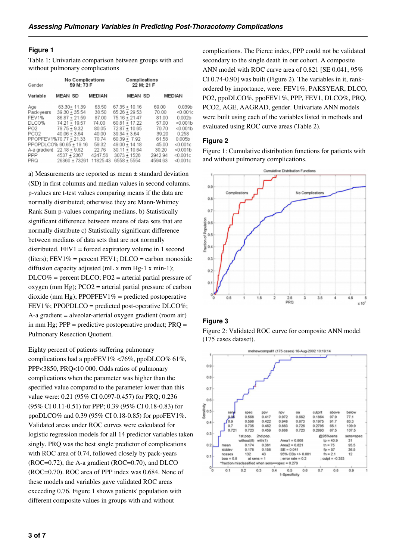# **Figure 1**

Table 1: Univariate comparison between groups with and without pulmonary complications

| Gender                                                                     | <b>No Complications</b><br>59 M; 73 F                                                                                                                                                                                    |                                                                                                      | Complications<br>22 M; 21 F                                                                                                                                                                           |                                                                                                     |                                                                                                                                                             |
|----------------------------------------------------------------------------|--------------------------------------------------------------------------------------------------------------------------------------------------------------------------------------------------------------------------|------------------------------------------------------------------------------------------------------|-------------------------------------------------------------------------------------------------------------------------------------------------------------------------------------------------------|-----------------------------------------------------------------------------------------------------|-------------------------------------------------------------------------------------------------------------------------------------------------------------|
| Variable                                                                   | <b>MEAN SD</b>                                                                                                                                                                                                           | <b>MEDIAN</b>                                                                                        | <b>MEAN SD</b>                                                                                                                                                                                        |                                                                                                     | <b>MEDIAN</b>                                                                                                                                               |
| Age<br>Pack-years<br>FEV1%<br>DLCO%<br>PO2<br>PCO2<br><b>PPP</b><br>PRQ DR | 63.30+11.39<br>$39.30 + 35.54$<br>$86.87 + 21.59$<br>74.21 + 19.57<br>$79.75 + 9.32$<br>$40.06 + 3.64$<br>PPOPFEV1%70.77 + 21.33<br>PPOPDLCO% 60.65 + 19.16<br>A-a gradient 22.18 + 9.82<br>4537 + 2367<br>26360 + 73261 | 63.50<br>38.50<br>87.00<br>74.00<br>80.05<br>40.00<br>70.74<br>59.32<br>22.76<br>4247.56<br>11825.43 | $67.35 + 10.16$<br>$65.26 + 29.53$<br>$75.16 + 21.47$<br>$60.81 + 17.22$<br>$72.87 + 10.65$<br>$39.34 + 3.64$<br>$60.39 + 7.92$<br>$49.00 + 14.18$<br>$30.11 + 10.64$<br>$3073 + 1526$<br>6558 + 5554 | 69.00<br>70.00<br>81.00<br>57.00<br>70.70<br>39.20<br>61.58<br>45.00<br>30.20<br>2942.94<br>4594.63 | 0.039 <sub>b</sub><br>< 0.001c<br>0.002 <sub>b</sub><br>< 0.001b<br>< 0.001b<br>0.258<br>0.005 <sub>b</sub><br>< 0.001c<br>< 0.001b<br>< 0.001c<br>< 0.001c |

a) Measurements are reported as mean ± standard deviation (SD) in first columns and median values in second columns. p-values are t-test values comparing means if the data are normally distributed; otherwise they are Mann-Whitney Rank Sum p-values comparing medians. b) Statistically significant difference between means of data sets that are normally distribute c) Statistically significant difference between medians of data sets that are not normally distributed. FEV1 = forced expiratory volume in 1 second (liters);  $FEV1\% = percent FEV1$ ;  $DLCO = carbon monoxide$ diffusion capacity adjusted (mL x mm Hg-1 x min-1);  $D<sub>LO</sub>\%$  = percent  $D<sub>LO</sub>$ ; PO2 = arterial partial pressure of oxygen (mm Hg); PCO2 = arterial partial pressure of carbon dioxide (mm Hg); PPOPFEV1% = predicted postoperative FEV1%; PPOPDLCO = predicted post-operative DLCO%; A-a gradient = alveolar-arterial oxygen gradient (room air) in mm Hg;  $PPP =$  predictive postoperative product;  $PRO =$ Pulmonary Resection Quotient.

Eighty percent of patients suffering pulmonary complications had a ppoFEV1% <76%, ppoDLCO% 61%, PPP<3850, PRQ<10 000. Odds ratios of pulmonary complications when the parameter was higher than the specified value compared to the parameter lower than this value were: 0.21 (95% CI 0.097-0.457) for PRQ; 0.236 (95% CI 0.11-0.51) for PPP; 0.39 (95% CI 0.18-0.83) for ppoDLCO% and 0.39 (95% CI 0.18-0.85) for ppoFEV1%. Validated areas under ROC curves were calculated for logistic regression models for all 14 predictor variables taken singly. PRQ was the best single predictor of complications with ROC area of 0.74, followed closely by pack-years (ROC=0.72), the A-a gradient (ROC=0.70), and DLCO (ROC=0.70). ROC area of PPP index was 0.684. None of these models and variables gave validated ROC areas exceeding 0.76. Figure 1 shows patients' population with different composite values in groups with and without

complications. The Pierce index, PPP could not be validated secondary to the single death in our cohort. A composite ANN model with ROC curve area of 0.821 [SE 0.041; 95% CI 0.74-0.90] was built (Figure 2). The variables in it, rankordered by importance, were: FEV1%, PAKSYEAR, DLCO, PO2, ppoDLCO%, ppoFEV1%, PPP, FEV1, DLCO%, PRQ, PCO2, AGE, AAGRAD, gender. Univariate ANN models were built using each of the variables listed in methods and evaluated using ROC curve areas (Table 2).

#### **Figure 2**

Figure 1: Cumulative distribution functions for patients with and without pulmonary complications.



#### **Figure 3**

Figure 2: Validated ROC curve for composite ANN model (175 cases dataset).

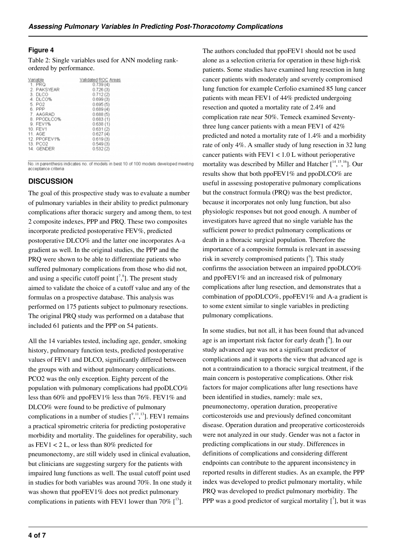# **Figure 4**

Table 2: Single variables used for ANN modeling rankordered by performance.

| Variable     | Validated ROC Areas |
|--------------|---------------------|
| 1. PRQ       | 0.739(4)            |
| 2. PAKSYEAR  | 0.726(3)            |
| 3. DLCO      | 0.712(2)            |
| 4. DLCO%     | 0.699(3)            |
| 5. PO2       | 0.695(5)            |
| 6. PPP       | 0.689(4)            |
| 7. AAGRAD    | 0.688(5)            |
| 8. PPODLCO%  | 0.683(1)            |
| 9. FEV1%     | 0.638(1)            |
| 10. FEV1     | 0.631(2)            |
| 11. AGE      | 0.627(4)            |
| 12. PPOFEV1% | 0.619(3)            |
| 13. PCO2     | 0.549(3)            |
| 14. GENDER   | 0.532(2)            |

No. in parenthesis indicates no. of models in best 10 of 100 models developed meeting acceptance criteria

## **DISCUSSION**

The goal of this prospective study was to evaluate a number of pulmonary variables in their ability to predict pulmonary complications after thoracic surgery and among them, to test 2 composite indexes, PPP and PRQ. These two composites incorporate predicted postoperative FEV%, predicted postoperative DLCO% and the latter one incorporates A-a gradient as well. In the original studies, the PPP and the PRQ were shown to be able to differentiate patients who suffered pulmonary complications from those who did not, and using a specific cutoff point  $\binom{7}{3}$ . The present study aimed to validate the choice of a cutoff value and any of the formulas on a prospective database. This analysis was performed on 175 patients subject to pulmonary resections. The original PRQ study was performed on a database that included 61 patients and the PPP on 54 patients.

All the 14 variables tested, including age, gender, smoking history, pulmonary function tests, predicted postoperative values of FEV1 and DLCO, significantly differed between the groups with and without pulmonary complications. PCO2 was the only exception. Eighty percent of the population with pulmonary complications had ppoDLCO% less than 60% and ppoFEV1% less than 76%. FEV1% and DLCO% were found to be predictive of pulmonary complications in a number of studies  $\binom{9}{2}$ , FEV1 remains a practical spirometric criteria for predicting postoperative morbidity and mortality. The guidelines for operability, such as FEV1 < 2 L, or less than 80% predicted for pneumonectomy, are still widely used in clinical evaluation, but clinicians are suggesting surgery for the patients with impaired lung functions as well. The usual cutoff point used in studies for both variables was around 70%. In one study it was shown that ppoFEV1% does not predict pulmonary complications in patients with FEV1 lower than 70%  $\int_0^{13}$ .

The authors concluded that ppoFEV1 should not be used alone as a selection criteria for operation in these high-risk patients. Some studies have examined lung resection in lung cancer patients with moderately and severely compromised lung function for example Cerfolio examined 85 lung cancer patients with mean FEV1 of 44% predicted undergoing resection and quoted a mortality rate of 2.4% and complication rate near 50%. Temeck examined Seventythree lung cancer patients with a mean FEV1 of 42% predicted and noted a mortality rate of 1.4% and a morbidity rate of only 4%. A smaller study of lung resection in 32 lung cancer patients with  $FEV1 < 1.0$  L without perioperative mortality was described by Miller and Hatcher  $\left[\begin{smallmatrix} 14 & 15 & 16 \\ 1 & 16 & 16 \end{smallmatrix}\right]$ . Our results show that both ppoFEV1% and ppoDLCO% are useful in assessing postoperative pulmonary complications but the construct formula (PRQ) was the best predictor, because it incorporates not only lung function, but also physiologic responses but not good enough. A number of investigators have agreed that no single variable has the sufficient power to predict pulmonary complications or death in a thoracic surgical population. Therefore the importance of a composite formula is relevant in assessing risk in severely compromised patients  $[$ <sup>9</sup>]. This study confirms the association between an impaired ppoDLCO% and ppoFEV1% and an increased risk of pulmonary complications after lung resection, and demonstrates that a combination of ppoDLCO%, ppoFEV1% and A-a gradient is to some extent similar to single variables in predicting pulmonary complications.

In some studies, but not all, it has been found that advanced age is an important risk factor for early death  $[$ <sup>9</sup>]. In our study advanced age was not a significant predictor of complications and it supports the view that advanced age is not a contraindication to a thoracic surgical treatment, if the main concern is postoperative complications. Other risk factors for major complications after lung resections have been identified in studies, namely: male sex, pneumonectomy, operation duration, preoperative corticosteroids use and previously defined concomitant disease. Operation duration and preoperative corticosteroids were not analyzed in our study. Gender was not a factor in predicting complications in our study. Differences in definitions of complications and considering different endpoints can contribute to the apparent inconsistency in reported results in different studies. As an example, the PPP index was developed to predict pulmonary mortality, while PRQ was developed to predict pulmonary morbidity. The PPP was a good predictor of surgical mortality  $\left[ \begin{matrix} 7 \\ 1 \end{matrix} \right]$ , but it was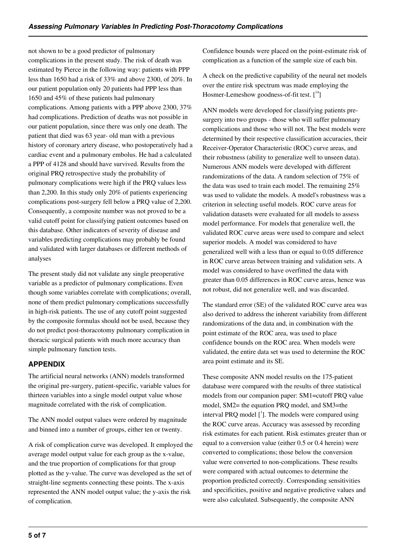not shown to be a good predictor of pulmonary complications in the present study. The risk of death was estimated by Pierce in the following way: patients with PPP less than 1650 had a risk of 33% and above 2300, of 20%. In our patient population only 20 patients had PPP less than 1650 and 45% of these patients had pulmonary complications. Among patients with a PPP above 2300, 37% had complications. Prediction of deaths was not possible in our patient population, since there was only one death. The patient that died was 63 year- old man with a previous history of coronary artery disease, who postoperatively had a cardiac event and a pulmonary embolus. He had a calculated a PPP of 4128 and should have survived. Results from the original PRQ retrospective study the probability of pulmonary complications were high if the PRQ values less than 2,200. In this study only 20% of patients experiencing complications post-surgery fell below a PRQ value of 2,200. Consequently, a composite number was not proved to be a valid cutoff point for classifying patient outcomes based on this database. Other indicators of severity of disease and variables predicting complications may probably be found and validated with larger databases or different methods of analyses

The present study did not validate any single preoperative variable as a predictor of pulmonary complications. Even though some variables correlate with complications; overall, none of them predict pulmonary complications successfully in high-risk patients. The use of any cutoff point suggested by the composite formulas should not be used, because they do not predict post-thoracotomy pulmonary complication in thoracic surgical patients with much more accuracy than simple pulmonary function tests.

# **APPENDIX**

The artificial neural networks (ANN) models transformed the original pre-surgery, patient-specific, variable values for thirteen variables into a single model output value whose magnitude correlated with the risk of complication.

The ANN model output values were ordered by magnitude and binned into a number of groups, either ten or twenty.

A risk of complication curve was developed. It employed the average model output value for each group as the x-value, and the true proportion of complications for that group plotted as the y-value. The curve was developed as the set of straight-line segments connecting these points. The x-axis represented the ANN model output value; the y-axis the risk of complication.

Confidence bounds were placed on the point-estimate risk of complication as a function of the sample size of each bin.

A check on the predictive capability of the neural net models over the entire risk spectrum was made employing the Hosmer-Lemeshow goodness-of-fit test.  $\lceil \cdot^1 \rceil$ 

ANN models were developed for classifying patients presurgery into two groups - those who will suffer pulmonary complications and those who will not. The best models were determined by their respective classification accuracies, their Receiver-Operator Characteristic (ROC) curve areas, and their robustness (ability to generalize well to unseen data). Numerous ANN models were developed with different randomizations of the data. A random selection of 75% of the data was used to train each model. The remaining 25% was used to validate the models. A model's robustness was a criterion in selecting useful models. ROC curve areas for validation datasets were evaluated for all models to assess model performance. For models that generalize well, the validated ROC curve areas were used to compare and select superior models. A model was considered to have generalized well with a less than or equal to 0.05 difference in ROC curve areas between training and validation sets. A model was considered to have overfitted the data with greater than 0.05 differences in ROC curve areas, hence was not robust, did not generalize well, and was discarded.

The standard error (SE) of the validated ROC curve area was also derived to address the inherent variability from different randomizations of the data and, in combination with the point estimate of the ROC area, was used to place confidence bounds on the ROC area. When models were validated, the entire data set was used to determine the ROC area point estimate and its SE.

These composite ANN model results on the 175-patient database were compared with the results of three statistical models from our companion paper: SM1=cutoff PRQ value model, SM2= the equation PRQ model, and SM3=the interval PRQ model  $[$ <sup>1</sup>]. The models were compared using the ROC curve areas. Accuracy was assessed by recording risk estimates for each patient. Risk estimates greater than or equal to a conversion value (either 0.5 or 0.4 herein) were converted to complications; those below the conversion value were converted to non-complications. These results were compared with actual outcomes to determine the proportion predicted correctly. Corresponding sensitivities and specificities, positive and negative predictive values and were also calculated. Subsequently, the composite ANN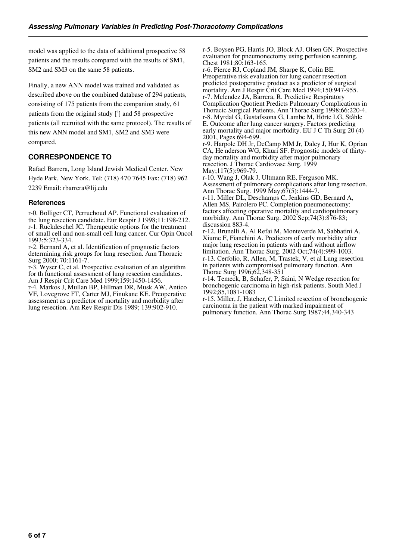model was applied to the data of additional prospective 58 patients and the results compared with the results of SM1, SM2 and SM3 on the same 58 patients.

Finally, a new ANN model was trained and validated as described above on the combined database of 294 patients, consisting of 175 patients from the companion study, 61 patients from the original study  $\binom{2}{1}$  and 58 prospective patients (all recruited with the same protocol). The results of this new ANN model and SM1, SM2 and SM3 were compared.

# **CORRESPONDENCE TO**

Rafael Barrera, Long Island Jewish Medical Center. New Hyde Park, New York. Tel: (718) 470 7645 Fax: (718) 962 2239 Email: rbarrera@lij.edu

# **References**

r-0. Bolliger CT, Perruchoud AP. Functional evaluation of the lung resection candidate. Eur Respir J 1998;11:198-212. r-1. Ruckdeschel JC. Therapeutic options for the treatment of small cell and non-small cell lung cancer. Cur Opin Oncol 1993;5:323-334.

r-2. Bernard A, et al. Identification of prognostic factors determining risk groups for lung resection. Ann Thoracic Surg 2000; 70:1161-7.

r-3. Wyser C, et al. Prospective evaluation of an algorithm for th functional assessment of lung resection candidates. Am J Respir Crit Care Med 1999;159:1450-1456.

r-4. Markos J, Mullan BP, Hillman DR, Musk AW, Antico VF, Lovegrove FT, Carter MJ, Finukane KE. Preoperative assessment as a predictor of mortality and morbidity after lung resection. Am Rev Respir Dis 1989; 139:902-910.

r-5. Boysen PG, Harris JO, Block AJ, Olsen GN. Prospective evaluation for pneumonectomy using perfusion scanning. Chest 1981;80:163-165.

r-6. Pierce RJ, Copland JM, Sharpe K, Colin BE. Preoperative risk evaluation for lung cancer resection predicted postoperative product as a predictor of surgical mortality. Am J Respir Crit Care Med 1994;150:947-955. r-7. Melendez JA, Barrera, R. Predictive Respiratory Complication Quotient Predicts Pulmonary Complications in Thoracic Surgical Patients. Ann Thorac Surg 1998;66:220-4. r-8. Myrdal G, Gustafssona G, Lambe M, Hörte LG, Ståhle E. Outcome after lung cancer surgery. Factors predicting early mortality and major morbidity. EU J C Th Surg  $20(4)$ 2001, Pages 694-699. r-9. Harpole DH Jr, DeCamp MM Jr, Daley J, Hur K, Oprian

CA, He nderson WG, Khuri SF. Prognostic models of thirtyday mortality and morbidity after major pulmonary resection. J Thorac Cardiovasc Surg. 1999 May;117(5):969-79.

r-10. Wang J, Olak J, Ultmann RE, Ferguson MK. Assessment of pulmonary complications after lung resection. Ann Thorac Surg. 1999 May;67(5):1444-7.

r-11. Miller DL, Deschamps C, Jenkins GD, Bernard A, Allen MS, Pairolero PC. Completion pneumonectomy: factors affecting operative mortality and cardiopulmonary morbidity. Ann Thorac Surg. 2002 Sep;74(3):876-83; discussion 883-4.

r-12. Brunelli A, Al Refai M, Monteverde M, Sabbatini A, Xiume F, Fianchini A. Predictors of early morbidity after major lung resection in patients with and without airflow limitation. Ann Thorac Surg. 2002 Oct;74(4):999-1003. r-13. Cerfolio, R, Allen, M, Trastek, V, et al Lung resection in patients with compromised pulmonary function. Ann Thorac Surg 1996;62,348-351

r-14. Temeck, B, Schafer, P, Saini, N Wedge resection for bronchogenic carcinoma in high-risk patients. South Med J 1992;85,1081-1083

r-15. Miller, J, Hatcher, C Limited resection of bronchogenic carcinoma in the patient with marked impairment of pulmonary function. Ann Thorac Surg 1987;44,340-343